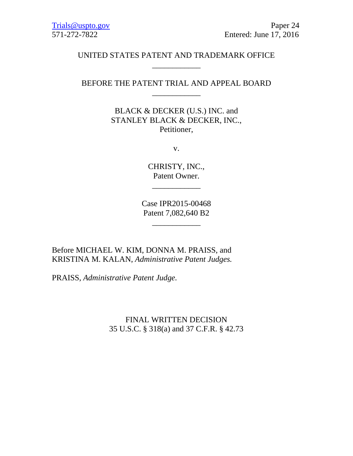# UNITED STATES PATENT AND TRADEMARK OFFICE \_\_\_\_\_\_\_\_\_\_\_\_

# BEFORE THE PATENT TRIAL AND APPEAL BOARD \_\_\_\_\_\_\_\_\_\_\_\_

BLACK & DECKER (U.S.) INC. and STANLEY BLACK & DECKER, INC., Petitioner,

v.

CHRISTY, INC., Patent Owner.

\_\_\_\_\_\_\_\_\_\_\_\_

Case IPR2015-00468 Patent 7,082,640 B2

\_\_\_\_\_\_\_\_\_\_\_\_

Before MICHAEL W. KIM, DONNA M. PRAISS, and KRISTINA M. KALAN, *Administrative Patent Judges.*

PRAISS, *Administrative Patent Judge.*

FINAL WRITTEN DECISION 35 U.S.C. § 318(a) and 37 C.F.R. § 42.73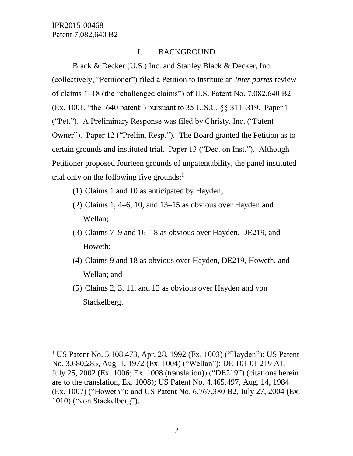l

# I. BACKGROUND

Black & Decker (U.S.) Inc. and Stanley Black & Decker, Inc. (collectively, "Petitioner") filed a Petition to institute an *inter partes* review of claims 1–18 (the "challenged claims") of U.S. Patent No. 7,082,640 B2 (Ex. 1001, "the '640 patent") pursuant to 35 U.S.C. §§ 311–319. Paper 1 ("Pet."). A Preliminary Response was filed by Christy, Inc. ("Patent Owner"). Paper 12 ("Prelim. Resp."). The Board granted the Petition as to certain grounds and instituted trial. Paper 13 ("Dec. on Inst."). Although Petitioner proposed fourteen grounds of unpatentability, the panel instituted trial only on the following five grounds: $<sup>1</sup>$ </sup>

- (1) Claims 1 and 10 as anticipated by Hayden;
- (2) Claims 1, 4–6, 10, and 13–15 as obvious over Hayden and Wellan;
- (3) Claims 7–9 and 16–18 as obvious over Hayden, DE219, and Howeth;
- (4) Claims 9 and 18 as obvious over Hayden, DE219, Howeth, and Wellan; and
- (5) Claims 2, 3, 11, and 12 as obvious over Hayden and von Stackelberg.

<sup>&</sup>lt;sup>1</sup> US Patent No. 5,108,473, Apr. 28, 1992 (Ex. 1003) ("Hayden"); US Patent No. 3,680,285, Aug. 1, 1972 (Ex. 1004) ("Wellan"); DE 101 01 219 A1, July 25, 2002 (Ex. 1006; Ex. 1008 (translation)) ("DE219") (citations herein are to the translation, Ex. 1008); US Patent No. 4,465,497, Aug. 14, 1984 (Ex. 1007) ("Howeth"); and US Patent No. 6,767,380 B2, July 27, 2004 (Ex. 1010) ("von Stackelberg").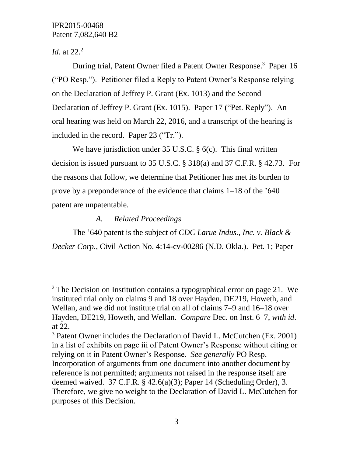*Id.* at 22.<sup>2</sup>

 $\overline{a}$ 

During trial, Patent Owner filed a Patent Owner Response. 3 Paper 16 ("PO Resp."). Petitioner filed a Reply to Patent Owner's Response relying on the Declaration of Jeffrey P. Grant (Ex. 1013) and the Second Declaration of Jeffrey P. Grant (Ex. 1015). Paper 17 ("Pet. Reply"). An oral hearing was held on March 22, 2016, and a transcript of the hearing is included in the record. Paper 23 ("Tr.").

We have jurisdiction under 35 U.S.C. § 6(c). This final written decision is issued pursuant to 35 U.S.C. § 318(a) and 37 C.F.R. § 42.73. For the reasons that follow, we determine that Petitioner has met its burden to prove by a preponderance of the evidence that claims 1–18 of the '640 patent are unpatentable.

*A. Related Proceedings*

The '640 patent is the subject of *CDC Larue Indus., Inc. v. Black & Decker Corp.*, Civil Action No. 4:14-cv-00286 (N.D. Okla.). Pet. 1; Paper

<sup>&</sup>lt;sup>2</sup> The Decision on Institution contains a typographical error on page 21. We instituted trial only on claims 9 and 18 over Hayden, DE219, Howeth, and Wellan, and we did not institute trial on all of claims 7–9 and 16–18 over Hayden, DE219, Howeth, and Wellan. *Compare* Dec. on Inst. 6–7, *with id*. at 22.

<sup>&</sup>lt;sup>3</sup> Patent Owner includes the Declaration of David L. McCutchen (Ex. 2001) in a list of exhibits on page iii of Patent Owner's Response without citing or relying on it in Patent Owner's Response. *See generally* PO Resp. Incorporation of arguments from one document into another document by reference is not permitted; arguments not raised in the response itself are deemed waived. 37 C.F.R. § 42.6(a)(3); Paper 14 (Scheduling Order), 3. Therefore, we give no weight to the Declaration of David L. McCutchen for purposes of this Decision.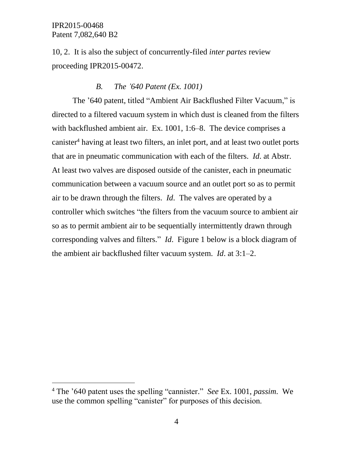$\overline{a}$ 

10, 2. It is also the subject of concurrently-filed *inter partes* review proceeding IPR2015-00472.

## *B. The '640 Patent (Ex. 1001)*

The '640 patent, titled "Ambient Air Backflushed Filter Vacuum," is directed to a filtered vacuum system in which dust is cleaned from the filters with backflushed ambient air. Ex. 1001, 1:6–8. The device comprises a canister<sup>4</sup> having at least two filters, an inlet port, and at least two outlet ports that are in pneumatic communication with each of the filters. *Id*. at Abstr. At least two valves are disposed outside of the canister, each in pneumatic communication between a vacuum source and an outlet port so as to permit air to be drawn through the filters. *Id*. The valves are operated by a controller which switches "the filters from the vacuum source to ambient air so as to permit ambient air to be sequentially intermittently drawn through corresponding valves and filters." *Id*. Figure 1 below is a block diagram of the ambient air backflushed filter vacuum system. *Id*. at 3:1–2.

<sup>4</sup> The '640 patent uses the spelling "cannister." *See* Ex. 1001, *passim*. We use the common spelling "canister" for purposes of this decision.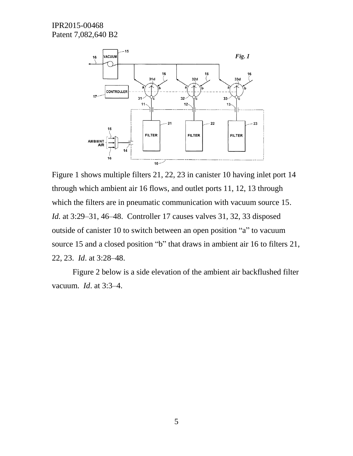

Figure 1 shows multiple filters 21, 22, 23 in canister 10 having inlet port 14 through which ambient air 16 flows, and outlet ports 11, 12, 13 through which the filters are in pneumatic communication with vacuum source 15. *Id.* at 3:29–31, 46–48. Controller 17 causes valves 31, 32, 33 disposed outside of canister 10 to switch between an open position "a" to vacuum source 15 and a closed position "b" that draws in ambient air 16 to filters 21, 22, 23. *Id*. at 3:28–48.

Figure 2 below is a side elevation of the ambient air backflushed filter vacuum. *Id*. at 3:3–4.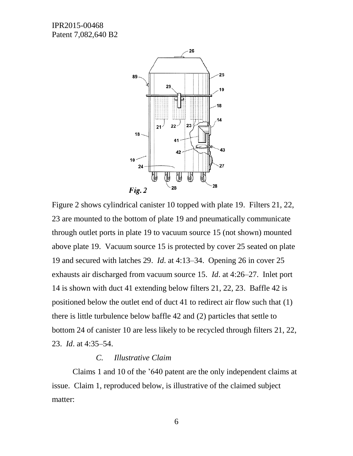

Figure 2 shows cylindrical canister 10 topped with plate 19. Filters 21, 22, 23 are mounted to the bottom of plate 19 and pneumatically communicate through outlet ports in plate 19 to vacuum source 15 (not shown) mounted above plate 19. Vacuum source 15 is protected by cover 25 seated on plate 19 and secured with latches 29. *Id*. at 4:13–34. Opening 26 in cover 25 exhausts air discharged from vacuum source 15. *Id*. at 4:26–27. Inlet port 14 is shown with duct 41 extending below filters 21, 22, 23. Baffle 42 is positioned below the outlet end of duct 41 to redirect air flow such that (1) there is little turbulence below baffle 42 and (2) particles that settle to bottom 24 of canister 10 are less likely to be recycled through filters 21, 22, 23. *Id*. at 4:35–54.

#### *C. Illustrative Claim*

Claims 1 and 10 of the '640 patent are the only independent claims at issue. Claim 1, reproduced below, is illustrative of the claimed subject matter: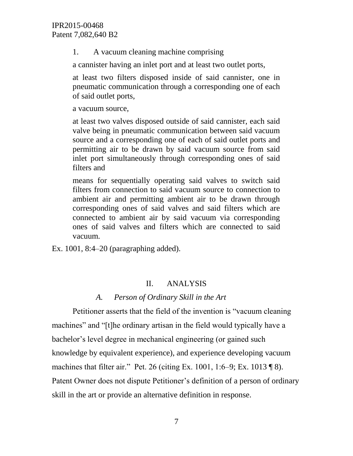1. A vacuum cleaning machine comprising

a cannister having an inlet port and at least two outlet ports,

at least two filters disposed inside of said cannister, one in pneumatic communication through a corresponding one of each of said outlet ports,

a vacuum source,

at least two valves disposed outside of said cannister, each said valve being in pneumatic communication between said vacuum source and a corresponding one of each of said outlet ports and permitting air to be drawn by said vacuum source from said inlet port simultaneously through corresponding ones of said filters and

means for sequentially operating said valves to switch said filters from connection to said vacuum source to connection to ambient air and permitting ambient air to be drawn through corresponding ones of said valves and said filters which are connected to ambient air by said vacuum via corresponding ones of said valves and filters which are connected to said vacuum.

Ex. 1001, 8:4–20 (paragraphing added).

#### II. ANALYSIS

# *A. Person of Ordinary Skill in the Art*

Petitioner asserts that the field of the invention is "vacuum cleaning machines" and "[t]he ordinary artisan in the field would typically have a bachelor's level degree in mechanical engineering (or gained such knowledge by equivalent experience), and experience developing vacuum machines that filter air." Pet. 26 (citing Ex. 1001, 1:6–9; Ex. 1013 ¶ 8). Patent Owner does not dispute Petitioner's definition of a person of ordinary skill in the art or provide an alternative definition in response.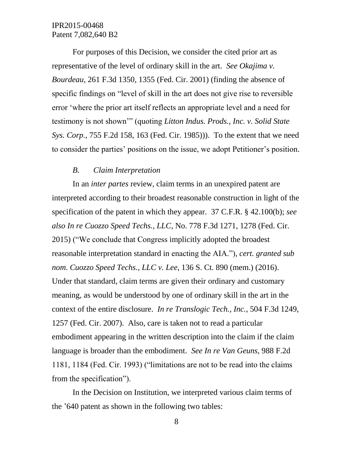For purposes of this Decision, we consider the cited prior art as representative of the level of ordinary skill in the art. *See Okajima v. Bourdeau*, 261 F.3d 1350, 1355 (Fed. Cir. 2001) (finding the absence of specific findings on "level of skill in the art does not give rise to reversible error 'where the prior art itself reflects an appropriate level and a need for testimony is not shown'" (quoting *Litton Indus. Prods., Inc. v. Solid State Sys. Corp.*, 755 F.2d 158, 163 (Fed. Cir. 1985))). To the extent that we need to consider the parties' positions on the issue, we adopt Petitioner's position.

#### *B. Claim Interpretation*

In an *inter partes* review, claim terms in an unexpired patent are interpreted according to their broadest reasonable construction in light of the specification of the patent in which they appear. 37 C.F.R. § 42.100(b); *see also In re Cuozzo Speed Techs., LLC*, No. 778 F.3d 1271, 1278 (Fed. Cir. 2015) ("We conclude that Congress implicitly adopted the broadest reasonable interpretation standard in enacting the AIA."), *cert. granted sub nom*. *Cuozzo Speed Techs., LLC v. Lee*, 136 S. Ct. 890 (mem.) (2016). Under that standard, claim terms are given their ordinary and customary meaning, as would be understood by one of ordinary skill in the art in the context of the entire disclosure. *In re Translogic Tech., Inc.*, 504 F.3d 1249, 1257 (Fed. Cir. 2007). Also, care is taken not to read a particular embodiment appearing in the written description into the claim if the claim language is broader than the embodiment. *See In re Van Geuns*, 988 F.2d 1181, 1184 (Fed. Cir. 1993) ("limitations are not to be read into the claims from the specification").

In the Decision on Institution, we interpreted various claim terms of the '640 patent as shown in the following two tables: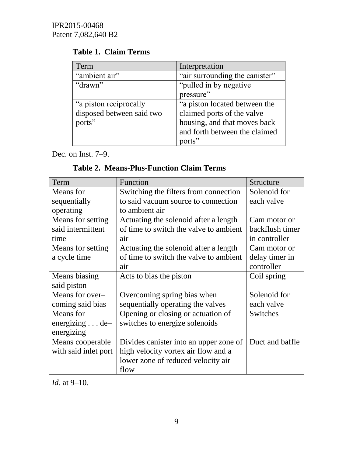| Term                      | Interpretation                 |  |
|---------------------------|--------------------------------|--|
| "ambient air"             | "air surrounding the canister" |  |
| "drawn"                   | "pulled in by negative"        |  |
|                           | pressure"                      |  |
| "a piston reciprocally"   | "a piston located between the  |  |
| disposed between said two | claimed ports of the valve     |  |
| ports"                    | housing, and that moves back   |  |
|                           | and forth between the claimed  |  |
|                           | ports"                         |  |

# **Table 1. Claim Terms**

Dec. on Inst. 7–9.

**Table 2. Means-Plus-Function Claim Terms**

| Term                    | Function                                | Structure       |
|-------------------------|-----------------------------------------|-----------------|
| Means for               | Switching the filters from connection   | Solenoid for    |
| sequentially            | to said vacuum source to connection     | each valve      |
| operating               | to ambient air                          |                 |
| Means for setting       | Actuating the solenoid after a length   | Cam motor or    |
| said intermittent       | of time to switch the valve to ambient  | backflush timer |
| time                    | air                                     | in controller   |
| Means for setting       | Actuating the solenoid after a length   | Cam motor or    |
| a cycle time            | of time to switch the valve to ambient  | delay timer in  |
|                         | air                                     | controller      |
| Means biasing           | Acts to bias the piston                 | Coil spring     |
| said piston             |                                         |                 |
| Means for over-         | Overcoming spring bias when             | Solenoid for    |
| coming said bias        | sequentially operating the valves       | each valve      |
| Means for               | Opening or closing or actuation of      | Switches        |
| energizing $\ldots$ de- | switches to energize solenoids          |                 |
| energizing              |                                         |                 |
| Means cooperable        | Divides can ister into an upper zone of | Duct and baffle |
| with said inlet port    | high velocity vortex air flow and a     |                 |
|                         | lower zone of reduced velocity air      |                 |
|                         | flow                                    |                 |

*Id*. at 9–10.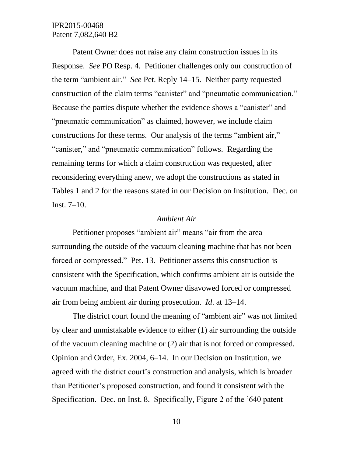Patent Owner does not raise any claim construction issues in its Response. *See* PO Resp. 4. Petitioner challenges only our construction of the term "ambient air." *See* Pet. Reply 14–15. Neither party requested construction of the claim terms "canister" and "pneumatic communication." Because the parties dispute whether the evidence shows a "canister" and "pneumatic communication" as claimed, however, we include claim constructions for these terms. Our analysis of the terms "ambient air," "canister," and "pneumatic communication" follows. Regarding the remaining terms for which a claim construction was requested, after reconsidering everything anew, we adopt the constructions as stated in Tables 1 and 2 for the reasons stated in our Decision on Institution. Dec. on Inst. 7–10.

#### *Ambient Air*

Petitioner proposes "ambient air" means "air from the area surrounding the outside of the vacuum cleaning machine that has not been forced or compressed." Pet. 13. Petitioner asserts this construction is consistent with the Specification, which confirms ambient air is outside the vacuum machine, and that Patent Owner disavowed forced or compressed air from being ambient air during prosecution. *Id*. at 13–14.

The district court found the meaning of "ambient air" was not limited by clear and unmistakable evidence to either (1) air surrounding the outside of the vacuum cleaning machine or (2) air that is not forced or compressed. Opinion and Order, Ex. 2004, 6–14. In our Decision on Institution, we agreed with the district court's construction and analysis, which is broader than Petitioner's proposed construction, and found it consistent with the Specification. Dec. on Inst. 8. Specifically, Figure 2 of the '640 patent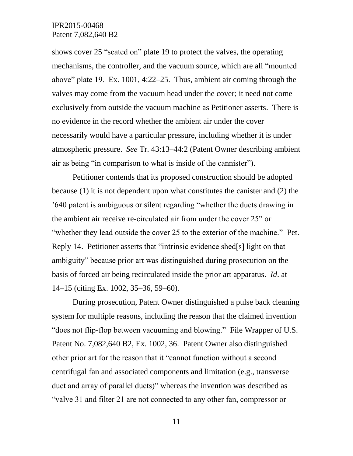shows cover 25 "seated on" plate 19 to protect the valves, the operating mechanisms, the controller, and the vacuum source, which are all "mounted above" plate 19. Ex. 1001, 4:22–25. Thus, ambient air coming through the valves may come from the vacuum head under the cover; it need not come exclusively from outside the vacuum machine as Petitioner asserts. There is no evidence in the record whether the ambient air under the cover necessarily would have a particular pressure, including whether it is under atmospheric pressure. *See* Tr. 43:13–44:2 (Patent Owner describing ambient air as being "in comparison to what is inside of the cannister").

Petitioner contends that its proposed construction should be adopted because (1) it is not dependent upon what constitutes the canister and (2) the '640 patent is ambiguous or silent regarding "whether the ducts drawing in the ambient air receive re-circulated air from under the cover 25" or "whether they lead outside the cover 25 to the exterior of the machine." Pet. Reply 14. Petitioner asserts that "intrinsic evidence shed[s] light on that ambiguity" because prior art was distinguished during prosecution on the basis of forced air being recirculated inside the prior art apparatus. *Id*. at 14–15 (citing Ex. 1002, 35–36, 59–60).

During prosecution, Patent Owner distinguished a pulse back cleaning system for multiple reasons, including the reason that the claimed invention "does not flip-flop between vacuuming and blowing." File Wrapper of U.S. Patent No. 7,082,640 B2, Ex. 1002, 36. Patent Owner also distinguished other prior art for the reason that it "cannot function without a second centrifugal fan and associated components and limitation (e.g., transverse duct and array of parallel ducts)" whereas the invention was described as "valve 31 and filter 21 are not connected to any other fan, compressor or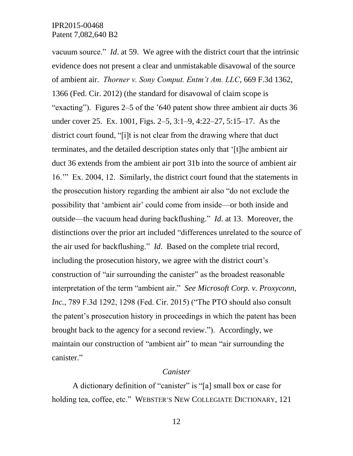vacuum source." *Id*. at 59. We agree with the district court that the intrinsic evidence does not present a clear and unmistakable disavowal of the source of ambient air. *Thorner v. Sony Comput. Entm't Am. LLC*, 669 F.3d 1362, 1366 (Fed. Cir. 2012) (the standard for disavowal of claim scope is "exacting"). Figures 2–5 of the '640 patent show three ambient air ducts 36 under cover 25. Ex. 1001, Figs. 2–5, 3:1–9, 4:22–27, 5:15–17. As the district court found, "[i]t is not clear from the drawing where that duct terminates, and the detailed description states only that '[t]he ambient air duct 36 extends from the ambient air port 31b into the source of ambient air 16.'" Ex. 2004, 12. Similarly, the district court found that the statements in the prosecution history regarding the ambient air also "do not exclude the possibility that 'ambient air' could come from inside––or both inside and outside––the vacuum head during backflushing." *Id*. at 13. Moreover, the distinctions over the prior art included "differences unrelated to the source of the air used for backflushing." *Id*. Based on the complete trial record, including the prosecution history, we agree with the district court's construction of "air surrounding the canister" as the broadest reasonable interpretation of the term "ambient air." *See Microsoft Corp. v. Proxyconn, Inc.*, 789 F.3d 1292, 1298 (Fed. Cir. 2015) ("The PTO should also consult the patent's prosecution history in proceedings in which the patent has been brought back to the agency for a second review."). Accordingly, we maintain our construction of "ambient air" to mean "air surrounding the canister."

#### *Canister*

A dictionary definition of "canister" is "[a] small box or case for holding tea, coffee, etc." WEBSTER'S NEW COLLEGIATE DICTIONARY, 121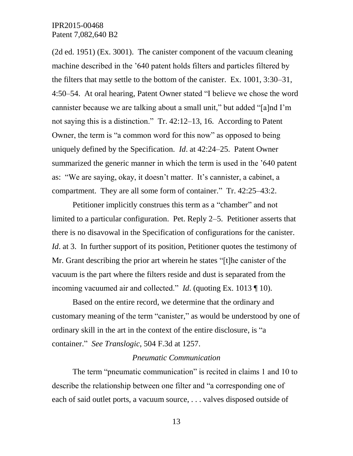(2d ed. 1951) (Ex. 3001). The canister component of the vacuum cleaning machine described in the '640 patent holds filters and particles filtered by the filters that may settle to the bottom of the canister. Ex. 1001, 3:30–31, 4:50–54. At oral hearing, Patent Owner stated "I believe we chose the word cannister because we are talking about a small unit," but added "[a]nd I'm not saying this is a distinction." Tr. 42:12–13, 16. According to Patent Owner, the term is "a common word for this now" as opposed to being uniquely defined by the Specification. *Id*. at 42:24–25. Patent Owner summarized the generic manner in which the term is used in the '640 patent as: "We are saying, okay, it doesn't matter. It's cannister, a cabinet, a compartment. They are all some form of container." Tr. 42:25–43:2.

Petitioner implicitly construes this term as a "chamber" and not limited to a particular configuration. Pet. Reply 2–5. Petitioner asserts that there is no disavowal in the Specification of configurations for the canister. *Id.* at 3. In further support of its position, Petitioner quotes the testimony of Mr. Grant describing the prior art wherein he states "[t]he canister of the vacuum is the part where the filters reside and dust is separated from the incoming vacuumed air and collected." *Id*. (quoting Ex. 1013 ¶ 10).

Based on the entire record, we determine that the ordinary and customary meaning of the term "canister," as would be understood by one of ordinary skill in the art in the context of the entire disclosure, is "a container." *See Translogic*, 504 F.3d at 1257.

#### *Pneumatic Communication*

The term "pneumatic communication" is recited in claims 1 and 10 to describe the relationship between one filter and "a corresponding one of each of said outlet ports, a vacuum source, . . . valves disposed outside of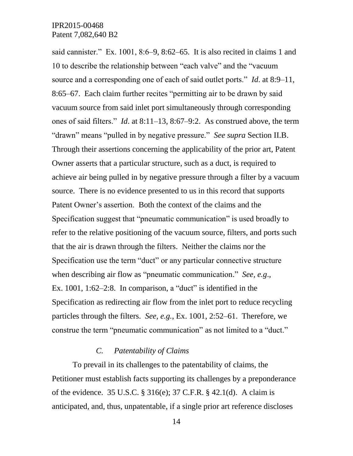said cannister." Ex. 1001, 8:6–9, 8:62–65. It is also recited in claims 1 and 10 to describe the relationship between "each valve" and the "vacuum source and a corresponding one of each of said outlet ports." *Id*. at 8:9–11, 8:65–67. Each claim further recites "permitting air to be drawn by said vacuum source from said inlet port simultaneously through corresponding ones of said filters." *Id*. at 8:11–13, 8:67–9:2. As construed above, the term "drawn" means "pulled in by negative pressure." *See supra* Section II.B. Through their assertions concerning the applicability of the prior art, Patent Owner asserts that a particular structure, such as a duct, is required to achieve air being pulled in by negative pressure through a filter by a vacuum source. There is no evidence presented to us in this record that supports Patent Owner's assertion. Both the context of the claims and the Specification suggest that "pneumatic communication" is used broadly to refer to the relative positioning of the vacuum source, filters, and ports such that the air is drawn through the filters. Neither the claims nor the Specification use the term "duct" or any particular connective structure when describing air flow as "pneumatic communication." *See, e.g*., Ex. 1001, 1:62–2:8. In comparison, a "duct" is identified in the Specification as redirecting air flow from the inlet port to reduce recycling particles through the filters. *See, e.g.*, Ex. 1001, 2:52–61. Therefore, we construe the term "pneumatic communication" as not limited to a "duct."

## *C. Patentability of Claims*

To prevail in its challenges to the patentability of claims, the Petitioner must establish facts supporting its challenges by a preponderance of the evidence. 35 U.S.C. § 316(e); 37 C.F.R. § 42.1(d). A claim is anticipated, and, thus, unpatentable, if a single prior art reference discloses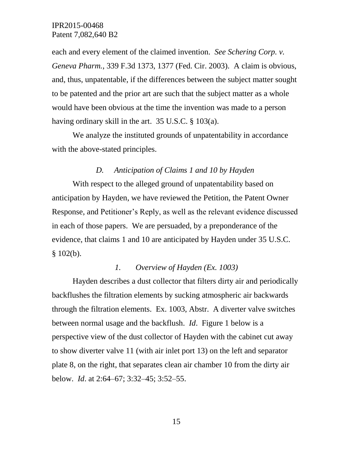each and every element of the claimed invention. *See Schering Corp. v. Geneva Pharm.*, 339 F.3d 1373, 1377 (Fed. Cir. 2003). A claim is obvious, and, thus, unpatentable, if the differences between the subject matter sought to be patented and the prior art are such that the subject matter as a whole would have been obvious at the time the invention was made to a person having ordinary skill in the art. 35 U.S.C. § 103(a).

We analyze the instituted grounds of unpatentability in accordance with the above-stated principles.

#### *D. Anticipation of Claims 1 and 10 by Hayden*

With respect to the alleged ground of unpatentability based on anticipation by Hayden, we have reviewed the Petition, the Patent Owner Response, and Petitioner's Reply, as well as the relevant evidence discussed in each of those papers. We are persuaded, by a preponderance of the evidence, that claims 1 and 10 are anticipated by Hayden under 35 U.S.C.  $$102(b).$ 

## *1. Overview of Hayden (Ex. 1003)*

Hayden describes a dust collector that filters dirty air and periodically backflushes the filtration elements by sucking atmospheric air backwards through the filtration elements. Ex. 1003, Abstr. A diverter valve switches between normal usage and the backflush. *Id*. Figure 1 below is a perspective view of the dust collector of Hayden with the cabinet cut away to show diverter valve 11 (with air inlet port 13) on the left and separator plate 8, on the right, that separates clean air chamber 10 from the dirty air below. *Id*. at 2:64–67; 3:32–45; 3:52–55.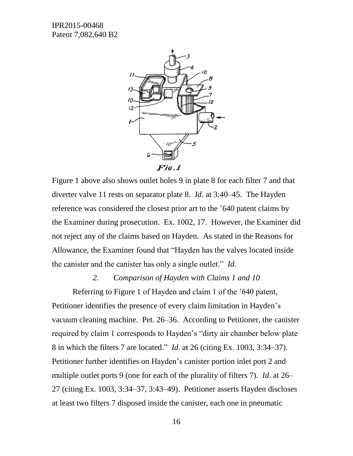

Figure 1 above also shows outlet holes 9 in plate 8 for each filter 7 and that diverter valve 11 rests on separator plate 8. *Id*. at 3:40–45. The Hayden reference was considered the closest prior art to the '640 patent claims by the Examiner during prosecution. Ex. 1002, 17. However, the Examiner did not reject any of the claims based on Hayden. As stated in the Reasons for Allowance, the Examiner found that "Hayden has the valves located inside the canister and the canister has only a single outlet." *Id*.

#### *2. Comparison of Hayden with Claims 1 and 10*

Referring to Figure 1 of Hayden and claim 1 of the '640 patent, Petitioner identifies the presence of every claim limitation in Hayden's vacuum cleaning machine. Pet. 26–36. According to Petitioner, the canister required by claim 1 corresponds to Hayden's "dirty air chamber below plate 8 in which the filters 7 are located." *Id*. at 26 (citing Ex. 1003, 3:34–37). Petitioner further identifies on Hayden's canister portion inlet port 2 and multiple outlet ports 9 (one for each of the plurality of filters 7). *Id*. at 26– 27 (citing Ex. 1003, 3:34–37, 3:43–49). Petitioner asserts Hayden discloses at least two filters 7 disposed inside the canister, each one in pneumatic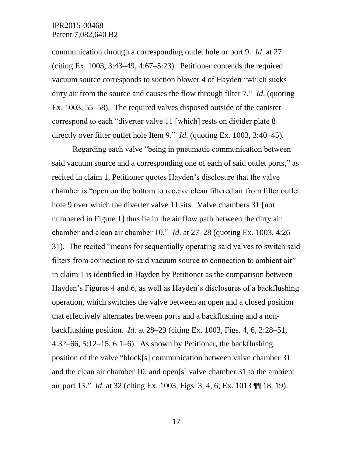communication through a corresponding outlet hole or port 9. *Id*. at 27 (citing Ex. 1003, 3:43–49, 4:67–5:23). Petitioner contends the required vacuum source corresponds to suction blower 4 of Hayden "which sucks dirty air from the source and causes the flow through filter 7." *Id*. (quoting Ex. 1003, 55–58). The required valves disposed outside of the canister correspond to each "diverter valve 11 [which] rests on divider plate 8 directly over filter outlet hole Item 9." *Id*. (quoting Ex. 1003, 3:40–45).

Regarding each valve "being in pneumatic communication between said vacuum source and a corresponding one of each of said outlet ports," as recited in claim 1, Petitioner quotes Hayden's disclosure that the valve chamber is "open on the bottom to receive clean filtered air from filter outlet hole 9 over which the diverter valve 11 sits. Valve chambers 31 [not numbered in Figure 1] thus lie in the air flow path between the dirty air chamber and clean air chamber 10." *Id*. at 27–28 (quoting Ex. 1003, 4:26– 31). The recited "means for sequentially operating said valves to switch said filters from connection to said vacuum source to connection to ambient air" in claim 1 is identified in Hayden by Petitioner as the comparison between Hayden's Figures 4 and 6, as well as Hayden's disclosures of a backflushing operation, which switches the valve between an open and a closed position that effectively alternates between ports and a backflushing and a nonbackflushing position. *Id*. at 28–29 (citing Ex. 1003, Figs. 4, 6, 2:28–51,  $4:32-66, 5:12-15, 6:1-6$ . As shown by Petitioner, the backflushing position of the valve "block[s] communication between valve chamber 31 and the clean air chamber 10, and open[s] valve chamber 31 to the ambient air port 13." *Id*. at 32 (citing Ex. 1003, Figs. 3, 4, 6; Ex. 1013 ¶¶ 18, 19).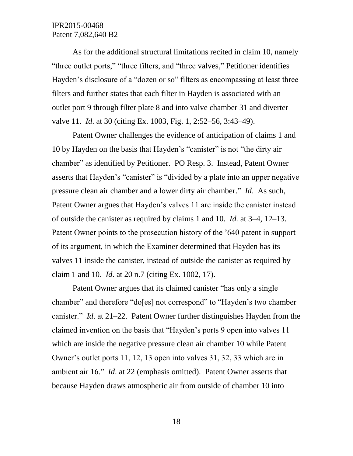As for the additional structural limitations recited in claim 10, namely "three outlet ports," "three filters, and "three valves," Petitioner identifies Hayden's disclosure of a "dozen or so" filters as encompassing at least three filters and further states that each filter in Hayden is associated with an outlet port 9 through filter plate 8 and into valve chamber 31 and diverter valve 11. *Id*. at 30 (citing Ex. 1003, Fig. 1, 2:52–56, 3:43–49).

Patent Owner challenges the evidence of anticipation of claims 1 and 10 by Hayden on the basis that Hayden's "canister" is not "the dirty air chamber" as identified by Petitioner. PO Resp. 3. Instead, Patent Owner asserts that Hayden's "canister" is "divided by a plate into an upper negative pressure clean air chamber and a lower dirty air chamber." *Id*. As such, Patent Owner argues that Hayden's valves 11 are inside the canister instead of outside the canister as required by claims 1 and 10. *Id.* at 3–4, 12–13. Patent Owner points to the prosecution history of the '640 patent in support of its argument, in which the Examiner determined that Hayden has its valves 11 inside the canister, instead of outside the canister as required by claim 1 and 10. *Id*. at 20 n.7 (citing Ex. 1002, 17).

Patent Owner argues that its claimed canister "has only a single chamber" and therefore "do[es] not correspond" to "Hayden's two chamber canister." *Id*. at 21–22. Patent Owner further distinguishes Hayden from the claimed invention on the basis that "Hayden's ports 9 open into valves 11 which are inside the negative pressure clean air chamber 10 while Patent Owner's outlet ports 11, 12, 13 open into valves 31, 32, 33 which are in ambient air 16." *Id*. at 22 (emphasis omitted). Patent Owner asserts that because Hayden draws atmospheric air from outside of chamber 10 into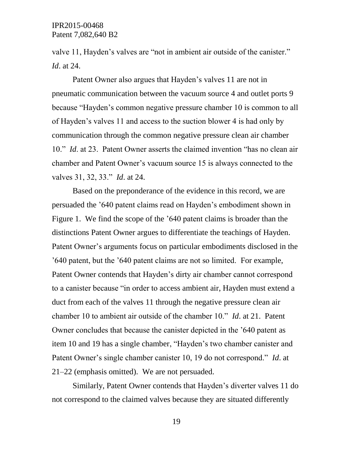valve 11, Hayden's valves are "not in ambient air outside of the canister." *Id*. at 24.

Patent Owner also argues that Hayden's valves 11 are not in pneumatic communication between the vacuum source 4 and outlet ports 9 because "Hayden's common negative pressure chamber 10 is common to all of Hayden's valves 11 and access to the suction blower 4 is had only by communication through the common negative pressure clean air chamber 10." *Id*. at 23. Patent Owner asserts the claimed invention "has no clean air chamber and Patent Owner's vacuum source 15 is always connected to the valves 31, 32, 33." *Id*. at 24.

Based on the preponderance of the evidence in this record, we are persuaded the '640 patent claims read on Hayden's embodiment shown in Figure 1. We find the scope of the '640 patent claims is broader than the distinctions Patent Owner argues to differentiate the teachings of Hayden. Patent Owner's arguments focus on particular embodiments disclosed in the '640 patent, but the '640 patent claims are not so limited. For example, Patent Owner contends that Hayden's dirty air chamber cannot correspond to a canister because "in order to access ambient air, Hayden must extend a duct from each of the valves 11 through the negative pressure clean air chamber 10 to ambient air outside of the chamber 10." *Id*. at 21. Patent Owner concludes that because the canister depicted in the '640 patent as item 10 and 19 has a single chamber, "Hayden's two chamber canister and Patent Owner's single chamber canister 10, 19 do not correspond." *Id*. at 21–22 (emphasis omitted). We are not persuaded.

Similarly, Patent Owner contends that Hayden's diverter valves 11 do not correspond to the claimed valves because they are situated differently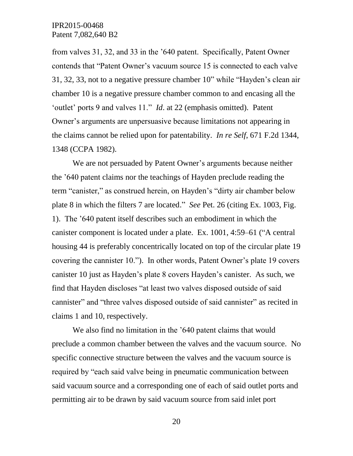from valves 31, 32, and 33 in the '640 patent. Specifically, Patent Owner contends that "Patent Owner's vacuum source 15 is connected to each valve 31, 32, 33, not to a negative pressure chamber 10" while "Hayden's clean air chamber 10 is a negative pressure chamber common to and encasing all the 'outlet' ports 9 and valves 11." *Id*. at 22 (emphasis omitted). Patent Owner's arguments are unpersuasive because limitations not appearing in the claims cannot be relied upon for patentability. *In re Self*, 671 F.2d 1344, 1348 (CCPA 1982).

We are not persuaded by Patent Owner's arguments because neither the '640 patent claims nor the teachings of Hayden preclude reading the term "canister," as construed herein, on Hayden's "dirty air chamber below plate 8 in which the filters 7 are located." *See* Pet. 26 (citing Ex. 1003, Fig. 1). The '640 patent itself describes such an embodiment in which the canister component is located under a plate. Ex. 1001, 4:59–61 ("A central housing 44 is preferably concentrically located on top of the circular plate 19 covering the cannister 10."). In other words, Patent Owner's plate 19 covers canister 10 just as Hayden's plate 8 covers Hayden's canister. As such, we find that Hayden discloses "at least two valves disposed outside of said cannister" and "three valves disposed outside of said cannister" as recited in claims 1 and 10, respectively.

We also find no limitation in the '640 patent claims that would preclude a common chamber between the valves and the vacuum source. No specific connective structure between the valves and the vacuum source is required by "each said valve being in pneumatic communication between said vacuum source and a corresponding one of each of said outlet ports and permitting air to be drawn by said vacuum source from said inlet port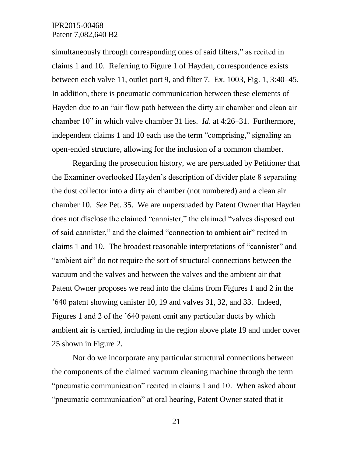simultaneously through corresponding ones of said filters," as recited in claims 1 and 10. Referring to Figure 1 of Hayden, correspondence exists between each valve 11, outlet port 9, and filter 7. Ex. 1003, Fig. 1, 3:40–45. In addition, there is pneumatic communication between these elements of Hayden due to an "air flow path between the dirty air chamber and clean air chamber 10" in which valve chamber 31 lies. *Id*. at 4:26–31. Furthermore, independent claims 1 and 10 each use the term "comprising," signaling an open-ended structure, allowing for the inclusion of a common chamber.

Regarding the prosecution history, we are persuaded by Petitioner that the Examiner overlooked Hayden's description of divider plate 8 separating the dust collector into a dirty air chamber (not numbered) and a clean air chamber 10. *See* Pet. 35. We are unpersuaded by Patent Owner that Hayden does not disclose the claimed "cannister," the claimed "valves disposed out of said cannister," and the claimed "connection to ambient air" recited in claims 1 and 10. The broadest reasonable interpretations of "cannister" and "ambient air" do not require the sort of structural connections between the vacuum and the valves and between the valves and the ambient air that Patent Owner proposes we read into the claims from Figures 1 and 2 in the '640 patent showing canister 10, 19 and valves 31, 32, and 33. Indeed, Figures 1 and 2 of the '640 patent omit any particular ducts by which ambient air is carried, including in the region above plate 19 and under cover 25 shown in Figure 2.

Nor do we incorporate any particular structural connections between the components of the claimed vacuum cleaning machine through the term "pneumatic communication" recited in claims 1 and 10. When asked about "pneumatic communication" at oral hearing, Patent Owner stated that it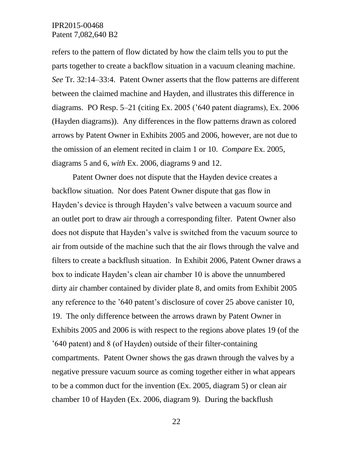refers to the pattern of flow dictated by how the claim tells you to put the parts together to create a backflow situation in a vacuum cleaning machine. *See* Tr. 32:14–33:4. Patent Owner asserts that the flow patterns are different between the claimed machine and Hayden, and illustrates this difference in diagrams. PO Resp. 5–21 (citing Ex. 2005 ('640 patent diagrams), Ex. 2006 (Hayden diagrams)). Any differences in the flow patterns drawn as colored arrows by Patent Owner in Exhibits 2005 and 2006, however, are not due to the omission of an element recited in claim 1 or 10. *Compare* Ex. 2005, diagrams 5 and 6, *with* Ex. 2006, diagrams 9 and 12.

Patent Owner does not dispute that the Hayden device creates a backflow situation. Nor does Patent Owner dispute that gas flow in Hayden's device is through Hayden's valve between a vacuum source and an outlet port to draw air through a corresponding filter. Patent Owner also does not dispute that Hayden's valve is switched from the vacuum source to air from outside of the machine such that the air flows through the valve and filters to create a backflush situation. In Exhibit 2006, Patent Owner draws a box to indicate Hayden's clean air chamber 10 is above the unnumbered dirty air chamber contained by divider plate 8, and omits from Exhibit 2005 any reference to the '640 patent's disclosure of cover 25 above canister 10, 19. The only difference between the arrows drawn by Patent Owner in Exhibits 2005 and 2006 is with respect to the regions above plates 19 (of the '640 patent) and 8 (of Hayden) outside of their filter-containing compartments. Patent Owner shows the gas drawn through the valves by a negative pressure vacuum source as coming together either in what appears to be a common duct for the invention (Ex. 2005, diagram 5) or clean air chamber 10 of Hayden (Ex. 2006, diagram 9). During the backflush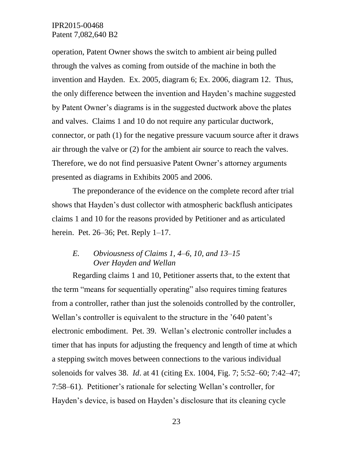operation, Patent Owner shows the switch to ambient air being pulled through the valves as coming from outside of the machine in both the invention and Hayden. Ex. 2005, diagram 6; Ex. 2006, diagram 12. Thus, the only difference between the invention and Hayden's machine suggested by Patent Owner's diagrams is in the suggested ductwork above the plates and valves. Claims 1 and 10 do not require any particular ductwork, connector, or path (1) for the negative pressure vacuum source after it draws air through the valve or (2) for the ambient air source to reach the valves. Therefore, we do not find persuasive Patent Owner's attorney arguments presented as diagrams in Exhibits 2005 and 2006.

The preponderance of the evidence on the complete record after trial shows that Hayden's dust collector with atmospheric backflush anticipates claims 1 and 10 for the reasons provided by Petitioner and as articulated herein. Pet. 26–36; Pet. Reply 1–17.

# *E. Obviousness of Claims 1, 4–6, 10, and 13–15 Over Hayden and Wellan*

Regarding claims 1 and 10, Petitioner asserts that, to the extent that the term "means for sequentially operating" also requires timing features from a controller, rather than just the solenoids controlled by the controller, Wellan's controller is equivalent to the structure in the '640 patent's electronic embodiment. Pet. 39. Wellan's electronic controller includes a timer that has inputs for adjusting the frequency and length of time at which a stepping switch moves between connections to the various individual solenoids for valves 38. *Id*. at 41 (citing Ex. 1004, Fig. 7; 5:52–60; 7:42–47; 7:58–61). Petitioner's rationale for selecting Wellan's controller, for Hayden's device, is based on Hayden's disclosure that its cleaning cycle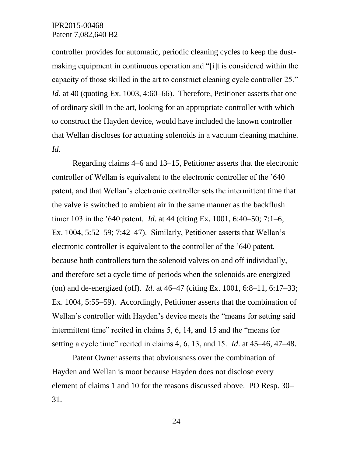controller provides for automatic, periodic cleaning cycles to keep the dustmaking equipment in continuous operation and "[i]t is considered within the capacity of those skilled in the art to construct cleaning cycle controller 25." *Id.* at 40 (quoting Ex. 1003, 4:60–66). Therefore, Petitioner asserts that one of ordinary skill in the art, looking for an appropriate controller with which to construct the Hayden device, would have included the known controller that Wellan discloses for actuating solenoids in a vacuum cleaning machine. *Id*.

Regarding claims 4–6 and 13–15, Petitioner asserts that the electronic controller of Wellan is equivalent to the electronic controller of the '640 patent, and that Wellan's electronic controller sets the intermittent time that the valve is switched to ambient air in the same manner as the backflush timer 103 in the '640 patent. *Id*. at 44 (citing Ex. 1001, 6:40–50; 7:1–6; Ex. 1004, 5:52–59; 7:42–47). Similarly, Petitioner asserts that Wellan's electronic controller is equivalent to the controller of the '640 patent, because both controllers turn the solenoid valves on and off individually, and therefore set a cycle time of periods when the solenoids are energized (on) and de-energized (off). *Id*. at 46–47 (citing Ex. 1001, 6:8–11, 6:17–33; Ex. 1004, 5:55–59). Accordingly, Petitioner asserts that the combination of Wellan's controller with Hayden's device meets the "means for setting said intermittent time" recited in claims 5, 6, 14, and 15 and the "means for setting a cycle time" recited in claims 4, 6, 13, and 15. *Id*. at 45–46, 47–48.

Patent Owner asserts that obviousness over the combination of Hayden and Wellan is moot because Hayden does not disclose every element of claims 1 and 10 for the reasons discussed above. PO Resp. 30– 31.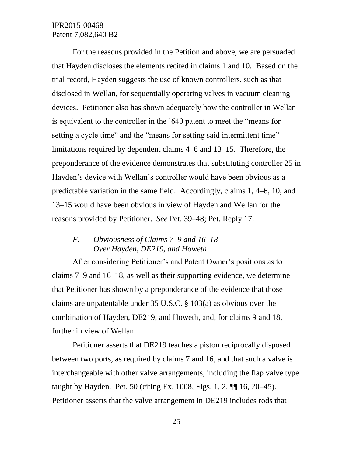For the reasons provided in the Petition and above, we are persuaded that Hayden discloses the elements recited in claims 1 and 10. Based on the trial record, Hayden suggests the use of known controllers, such as that disclosed in Wellan, for sequentially operating valves in vacuum cleaning devices. Petitioner also has shown adequately how the controller in Wellan is equivalent to the controller in the '640 patent to meet the "means for setting a cycle time" and the "means for setting said intermittent time" limitations required by dependent claims 4–6 and 13–15. Therefore, the preponderance of the evidence demonstrates that substituting controller 25 in Hayden's device with Wellan's controller would have been obvious as a predictable variation in the same field. Accordingly, claims 1, 4–6, 10, and 13–15 would have been obvious in view of Hayden and Wellan for the reasons provided by Petitioner. *See* Pet. 39–48; Pet. Reply 17.

## *F. Obviousness of Claims 7–9 and 16–18 Over Hayden, DE219, and Howeth*

After considering Petitioner's and Patent Owner's positions as to claims 7–9 and 16–18, as well as their supporting evidence, we determine that Petitioner has shown by a preponderance of the evidence that those claims are unpatentable under 35 U.S.C. § 103(a) as obvious over the combination of Hayden, DE219, and Howeth, and, for claims 9 and 18, further in view of Wellan.

Petitioner asserts that DE219 teaches a piston reciprocally disposed between two ports, as required by claims 7 and 16, and that such a valve is interchangeable with other valve arrangements, including the flap valve type taught by Hayden. Pet. 50 (citing Ex. 1008, Figs. 1, 2, ¶¶ 16, 20–45). Petitioner asserts that the valve arrangement in DE219 includes rods that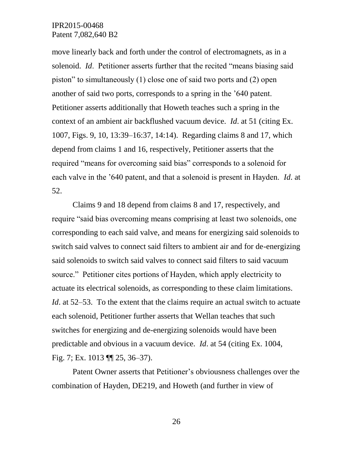move linearly back and forth under the control of electromagnets, as in a solenoid. *Id*. Petitioner asserts further that the recited "means biasing said piston" to simultaneously (1) close one of said two ports and (2) open another of said two ports, corresponds to a spring in the '640 patent. Petitioner asserts additionally that Howeth teaches such a spring in the context of an ambient air backflushed vacuum device. *Id*. at 51 (citing Ex. 1007, Figs. 9, 10, 13:39–16:37, 14:14). Regarding claims 8 and 17, which depend from claims 1 and 16, respectively, Petitioner asserts that the required "means for overcoming said bias" corresponds to a solenoid for each valve in the '640 patent, and that a solenoid is present in Hayden. *Id*. at 52.

Claims 9 and 18 depend from claims 8 and 17, respectively, and require "said bias overcoming means comprising at least two solenoids, one corresponding to each said valve, and means for energizing said solenoids to switch said valves to connect said filters to ambient air and for de-energizing said solenoids to switch said valves to connect said filters to said vacuum source." Petitioner cites portions of Hayden, which apply electricity to actuate its electrical solenoids, as corresponding to these claim limitations. *Id*. at 52–53. To the extent that the claims require an actual switch to actuate each solenoid, Petitioner further asserts that Wellan teaches that such switches for energizing and de-energizing solenoids would have been predictable and obvious in a vacuum device. *Id*. at 54 (citing Ex. 1004, Fig. 7; Ex. 1013 ¶¶ 25, 36–37).

Patent Owner asserts that Petitioner's obviousness challenges over the combination of Hayden, DE219, and Howeth (and further in view of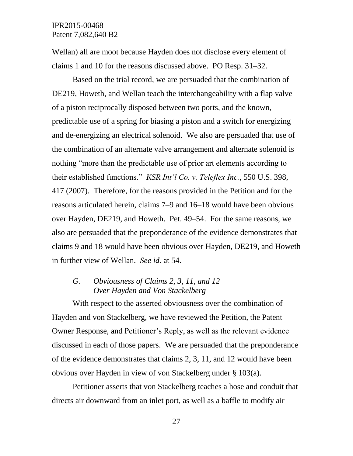Wellan) all are moot because Hayden does not disclose every element of claims 1 and 10 for the reasons discussed above. PO Resp. 31–32.

Based on the trial record, we are persuaded that the combination of DE219, Howeth, and Wellan teach the interchangeability with a flap valve of a piston reciprocally disposed between two ports, and the known, predictable use of a spring for biasing a piston and a switch for energizing and de-energizing an electrical solenoid. We also are persuaded that use of the combination of an alternate valve arrangement and alternate solenoid is nothing "more than the predictable use of prior art elements according to their established functions." *KSR Int'l Co. v. Teleflex Inc.*, 550 U.S. 398, 417 (2007). Therefore, for the reasons provided in the Petition and for the reasons articulated herein, claims 7–9 and 16–18 would have been obvious over Hayden, DE219, and Howeth. Pet. 49–54. For the same reasons, we also are persuaded that the preponderance of the evidence demonstrates that claims 9 and 18 would have been obvious over Hayden, DE219, and Howeth in further view of Wellan. *See id*. at 54.

#### *G. Obviousness of Claims 2, 3, 11, and 12 Over Hayden and Von Stackelberg*

With respect to the asserted obviousness over the combination of Hayden and von Stackelberg, we have reviewed the Petition, the Patent Owner Response, and Petitioner's Reply, as well as the relevant evidence discussed in each of those papers. We are persuaded that the preponderance of the evidence demonstrates that claims 2, 3, 11, and 12 would have been obvious over Hayden in view of von Stackelberg under § 103(a).

Petitioner asserts that von Stackelberg teaches a hose and conduit that directs air downward from an inlet port, as well as a baffle to modify air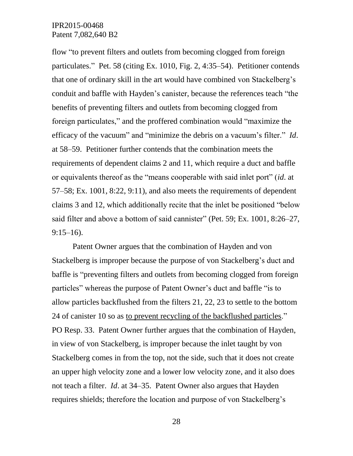flow "to prevent filters and outlets from becoming clogged from foreign particulates." Pet. 58 (citing Ex. 1010, Fig. 2, 4:35–54). Petitioner contends that one of ordinary skill in the art would have combined von Stackelberg's conduit and baffle with Hayden's canister, because the references teach "the benefits of preventing filters and outlets from becoming clogged from foreign particulates," and the proffered combination would "maximize the efficacy of the vacuum" and "minimize the debris on a vacuum's filter." *Id*. at 58–59. Petitioner further contends that the combination meets the requirements of dependent claims 2 and 11, which require a duct and baffle or equivalents thereof as the "means cooperable with said inlet port" (*id*. at 57–58; Ex. 1001, 8:22, 9:11), and also meets the requirements of dependent claims 3 and 12, which additionally recite that the inlet be positioned "below said filter and above a bottom of said cannister" (Pet. 59; Ex. 1001, 8:26–27, 9:15–16).

Patent Owner argues that the combination of Hayden and von Stackelberg is improper because the purpose of von Stackelberg's duct and baffle is "preventing filters and outlets from becoming clogged from foreign particles" whereas the purpose of Patent Owner's duct and baffle "is to allow particles backflushed from the filters 21, 22, 23 to settle to the bottom 24 of canister 10 so as to prevent recycling of the backflushed particles." PO Resp. 33. Patent Owner further argues that the combination of Hayden, in view of von Stackelberg, is improper because the inlet taught by von Stackelberg comes in from the top, not the side, such that it does not create an upper high velocity zone and a lower low velocity zone, and it also does not teach a filter. *Id*. at 34–35. Patent Owner also argues that Hayden requires shields; therefore the location and purpose of von Stackelberg's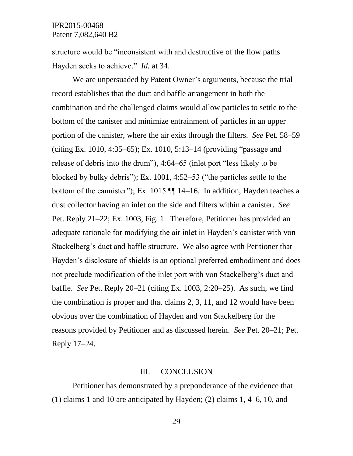structure would be "inconsistent with and destructive of the flow paths Hayden seeks to achieve." *Id.* at 34.

We are unpersuaded by Patent Owner's arguments, because the trial record establishes that the duct and baffle arrangement in both the combination and the challenged claims would allow particles to settle to the bottom of the canister and minimize entrainment of particles in an upper portion of the canister, where the air exits through the filters. *See* Pet. 58–59 (citing Ex. 1010, 4:35–65); Ex. 1010, 5:13–14 (providing "passage and release of debris into the drum"), 4:64–65 (inlet port "less likely to be blocked by bulky debris"); Ex. 1001, 4:52–53 ("the particles settle to the bottom of the cannister"); Ex. 1015 ¶¶ 14–16. In addition, Hayden teaches a dust collector having an inlet on the side and filters within a canister. *See* Pet. Reply 21–22; Ex. 1003, Fig. 1. Therefore, Petitioner has provided an adequate rationale for modifying the air inlet in Hayden's canister with von Stackelberg's duct and baffle structure. We also agree with Petitioner that Hayden's disclosure of shields is an optional preferred embodiment and does not preclude modification of the inlet port with von Stackelberg's duct and baffle. *See* Pet. Reply 20–21 (citing Ex. 1003, 2:20–25). As such, we find the combination is proper and that claims 2, 3, 11, and 12 would have been obvious over the combination of Hayden and von Stackelberg for the reasons provided by Petitioner and as discussed herein. *See* Pet. 20–21; Pet. Reply 17–24.

#### III. CONCLUSION

Petitioner has demonstrated by a preponderance of the evidence that (1) claims 1 and 10 are anticipated by Hayden; (2) claims 1, 4–6, 10, and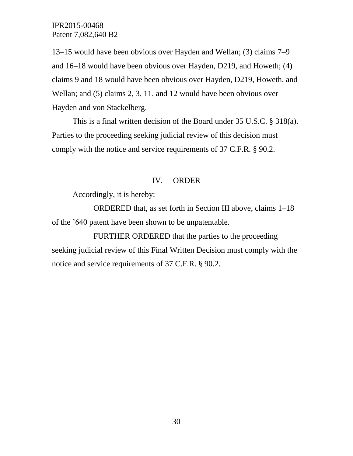13–15 would have been obvious over Hayden and Wellan; (3) claims 7–9 and 16–18 would have been obvious over Hayden, D219, and Howeth; (4) claims 9 and 18 would have been obvious over Hayden, D219, Howeth, and Wellan; and (5) claims 2, 3, 11, and 12 would have been obvious over Hayden and von Stackelberg.

This is a final written decision of the Board under 35 U.S.C. § 318(a). Parties to the proceeding seeking judicial review of this decision must comply with the notice and service requirements of 37 C.F.R. § 90.2.

#### IV. ORDER

Accordingly, it is hereby:

ORDERED that, as set forth in Section III above, claims 1–18 of the '640 patent have been shown to be unpatentable.

FURTHER ORDERED that the parties to the proceeding seeking judicial review of this Final Written Decision must comply with the notice and service requirements of 37 C.F.R. § 90.2.